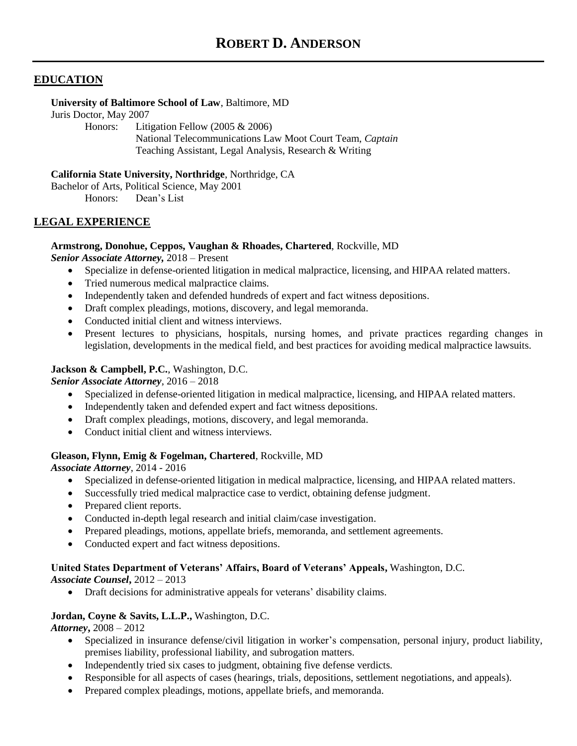# **EDUCATION**

#### **University of Baltimore School of Law**, Baltimore, MD

Juris Doctor, May 2007

Honors: Litigation Fellow (2005 & 2006) National Telecommunications Law Moot Court Team, *Captain* Teaching Assistant, Legal Analysis, Research & Writing

**California State University, Northridge**, Northridge, CA

Bachelor of Arts, Political Science, May 2001 Honors: Dean's List

# **LEGAL EXPERIENCE**

# **Armstrong, Donohue, Ceppos, Vaughan & Rhoades, Chartered**, Rockville, MD

*Senior Associate Attorney,* 2018 – Present

- Specialize in defense-oriented litigation in medical malpractice, licensing, and HIPAA related matters.
- Tried numerous medical malpractice claims.
- Independently taken and defended hundreds of expert and fact witness depositions.
- Draft complex pleadings, motions, discovery, and legal memoranda.
- Conducted initial client and witness interviews.
- Present lectures to physicians, hospitals, nursing homes, and private practices regarding changes in legislation, developments in the medical field, and best practices for avoiding medical malpractice lawsuits.

# **Jackson & Campbell, P.C.**, Washington, D.C.

## *Senior Associate Attorney*, 2016 – 2018

- Specialized in defense-oriented litigation in medical malpractice, licensing, and HIPAA related matters.
- Independently taken and defended expert and fact witness depositions.
- Draft complex pleadings, motions, discovery, and legal memoranda.
- Conduct initial client and witness interviews.

# **Gleason, Flynn, Emig & Fogelman, Chartered**, Rockville, MD

*Associate Attorney*, 2014 - 2016

- Specialized in defense-oriented litigation in medical malpractice, licensing, and HIPAA related matters.
- Successfully tried medical malpractice case to verdict, obtaining defense judgment.
- Prepared client reports.
- Conducted in-depth legal research and initial claim/case investigation.
- Prepared pleadings, motions, appellate briefs, memoranda, and settlement agreements.
- Conducted expert and fact witness depositions.

# **United States Department of Veterans' Affairs, Board of Veterans' Appeals,** Washington, D.C.

*Associate Counsel***,** 2012 – 2013

• Draft decisions for administrative appeals for veterans' disability claims.

## **Jordan, Coyne & Savits, L.L.P.,** Washington, D.C.

*Attorney***,** 2008 – 2012

- Specialized in insurance defense/civil litigation in worker's compensation, personal injury, product liability, premises liability, professional liability, and subrogation matters.
- Independently tried six cases to judgment, obtaining five defense verdicts.
- Responsible for all aspects of cases (hearings, trials, depositions, settlement negotiations, and appeals).
- Prepared complex pleadings, motions, appellate briefs, and memoranda.